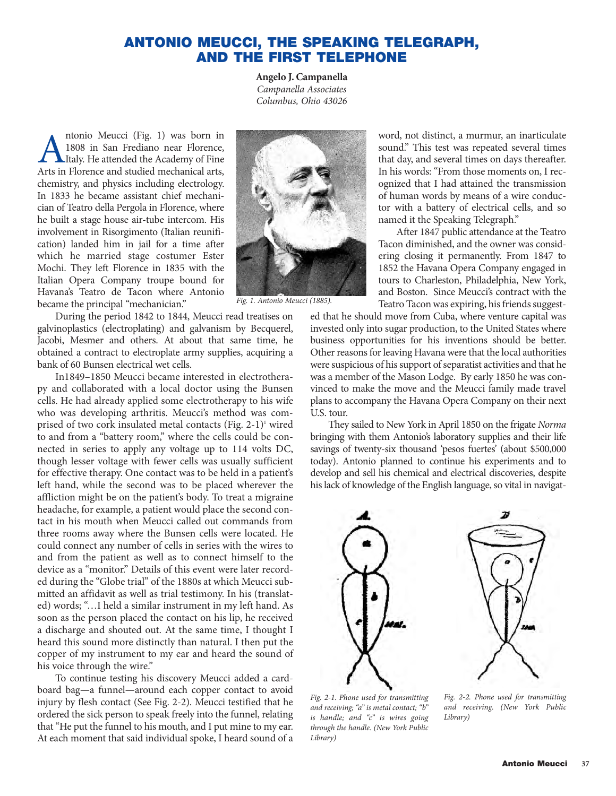# **ANTONIO MEUCCI, THE SPEAKING TELEGRAPH, AND THE FIRST TELEPHONE**

**Angelo J. Campanella** *Campanella Associates Columbus, Ohio 43026*

Antonio Meucci (Fig. 1) was born in<br>1808 in San Frediano near Florence,<br>Arts in Florence and studied mechanical arts, 1808 in San Frediano near Florence, Italy. He attended the Academy of Fine chemistry, and physics including electrology. In 1833 he became assistant chief mechanician of Teatro della Pergola in Florence, where he built a stage house air-tube intercom. His involvement in Risorgimento (Italian reunification) landed him in jail for a time after which he married stage costumer Ester Mochi. They left Florence in 1835 with the Italian Opera Company troupe bound for Havana's Teatro de Tacon where Antonio became the principal "mechanician."

During the period 1842 to 1844, Meucci read treatises on galvinoplastics (electroplating) and galvanism by Becquerel, Jacobi, Mesmer and others. At about that same time, he obtained a contract to electroplate army supplies, acquiring a bank of 60 Bunsen electrical wet cells.

In1849–1850 Meucci became interested in electrotherapy and collaborated with a local doctor using the Bunsen cells. He had already applied some electrotherapy to his wife who was developing arthritis. Meucci's method was comprised of two cork insulated metal contacts (Fig.  $2-1$ )<sup>1</sup> wired to and from a "battery room," where the cells could be connected in series to apply any voltage up to 114 volts DC, though lesser voltage with fewer cells was usually sufficient for effective therapy. One contact was to be held in a patient's left hand, while the second was to be placed wherever the affliction might be on the patient's body. To treat a migraine headache, for example, a patient would place the second contact in his mouth when Meucci called out commands from three rooms away where the Bunsen cells were located. He could connect any number of cells in series with the wires to and from the patient as well as to connect himself to the device as a "monitor." Details of this event were later recorded during the "Globe trial" of the 1880s at which Meucci submitted an affidavit as well as trial testimony. In his (translated) words; "…I held a similar instrument in my left hand. As soon as the person placed the contact on his lip, he received a discharge and shouted out. At the same time, I thought I heard this sound more distinctly than natural. I then put the copper of my instrument to my ear and heard the sound of his voice through the wire."

To continue testing his discovery Meucci added a cardboard bag—a funnel—around each copper contact to avoid injury by flesh contact (See Fig. 2-2). Meucci testified that he ordered the sick person to speak freely into the funnel, relating that "He put the funnel to his mouth, and I put mine to my ear. At each moment that said individual spoke, I heard sound of a



*Fig. 1. Antonio Meucci (1885).*

word, not distinct, a murmur, an inarticulate sound." This test was repeated several times that day, and several times on days thereafter. In his words: "From those moments on, I recognized that I had attained the transmission of human words by means of a wire conductor with a battery of electrical cells, and so named it the Speaking Telegraph."

After 1847 public attendance at the Teatro Tacon diminished, and the owner was considering closing it permanently. From 1847 to 1852 the Havana Opera Company engaged in tours to Charleston, Philadelphia, New York, and Boston. Since Meucci's contract with the Teatro Tacon was expiring, his friends suggest-

ed that he should move from Cuba, where venture capital was invested only into sugar production, to the United States where business opportunities for his inventions should be better. Other reasons for leaving Havana were that the local authorities were suspicious of his support of separatist activities and that he was a member of the Mason Lodge. By early 1850 he was convinced to make the move and the Meucci family made travel plans to accompany the Havana Opera Company on their next U.S. tour.

They sailed to New York in April 1850 on the frigate *Norma* bringing with them Antonio's laboratory supplies and their life savings of twenty-six thousand 'pesos fuertes' (about \$500,000 today). Antonio planned to continue his experiments and to develop and sell his chemical and electrical discoveries, despite his lack of knowledge of the English language, so vital in navigat-





*Fig. 2-1. Phone used for transmitting and receiving; "a" is metal contact; "b" is handle; and "c" is wires going through the handle. (New York Public Library)*

*Fig. 2-2. Phone used for transmitting and receiving. (New York Public Library)*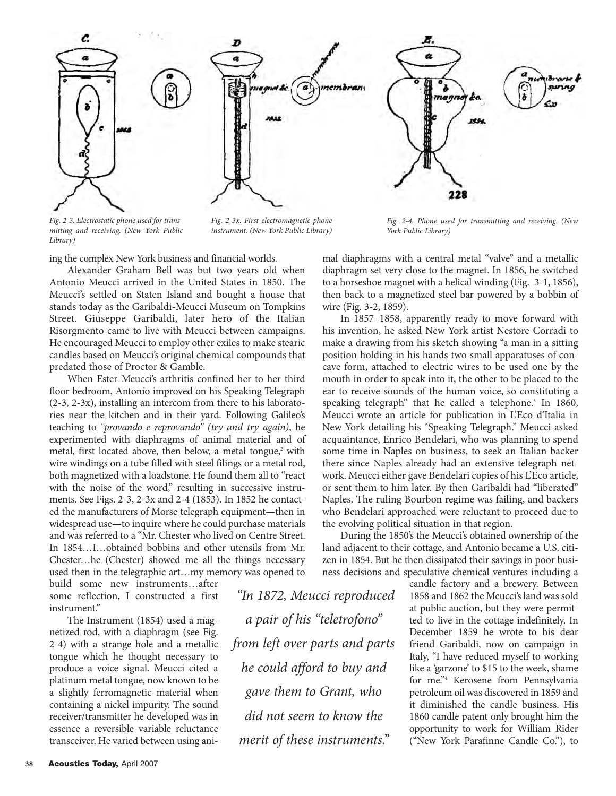





*Fig. 2-3. Electrostatic phone used for transmitting and receiving. (New York Public Library)*

*Fig. 2-3x. First electromagnetic phone instrument. (New York Public Library)*

*Fig. 2-4. Phone used for transmitting and receiving. (New York Public Library)*

ing the complex New York business and financial worlds.

Alexander Graham Bell was but two years old when Antonio Meucci arrived in the United States in 1850. The Meucci's settled on Staten Island and bought a house that stands today as the Garibaldi-Meucci Museum on Tompkins Street. Giuseppe Garibaldi, later hero of the Italian Risorgmento came to live with Meucci between campaigns. He encouraged Meucci to employ other exiles to make stearic candles based on Meucci's original chemical compounds that predated those of Proctor & Gamble.

When Ester Meucci's arthritis confined her to her third floor bedroom, Antonio improved on his Speaking Telegraph (2-3, 2-3x), installing an intercom from there to his laboratories near the kitchen and in their yard. Following Galileo's teaching to *"provando e reprovando" (try and try again)*, he experimented with diaphragms of animal material and of metal, first located above, then below, a metal tongue,<sup>2</sup> with wire windings on a tube filled with steel filings or a metal rod, both magnetized with a loadstone. He found them all to "react with the noise of the word," resulting in successive instruments. See Figs. 2-3, 2-3x and 2-4 (1853). In 1852 he contacted the manufacturers of Morse telegraph equipment—then in widespread use—to inquire where he could purchase materials and was referred to a "Mr. Chester who lived on Centre Street. In 1854…I…obtained bobbins and other utensils from Mr. Chester…he (Chester) showed me all the things necessary used then in the telegraphic art…my memory was opened to

build some new instruments…after some reflection, I constructed a first instrument."

The Instrument (1854) used a magnetized rod, with a diaphragm (see Fig. 2-4) with a strange hole and a metallic tongue which he thought necessary to produce a voice signal. Meucci cited a platinum metal tongue, now known to be a slightly ferromagnetic material when containing a nickel impurity. The sound receiver/transmitter he developed was in essence a reversible variable reluctance transceiver. He varied between using ani-

*"In 1872, Meucci reproduced a pair of his "teletrofono" from left over parts and parts he could afford to buy and gave them to Grant, who did not seem to know the merit of these instruments."*

mal diaphragms with a central metal "valve" and a metallic diaphragm set very close to the magnet. In 1856, he switched to a horseshoe magnet with a helical winding (Fig. 3-1, 1856), then back to a magnetized steel bar powered by a bobbin of wire (Fig. 3-2, 1859).

In 1857–1858, apparently ready to move forward with his invention, he asked New York artist Nestore Corradi to make a drawing from his sketch showing "a man in a sitting position holding in his hands two small apparatuses of concave form, attached to electric wires to be used one by the mouth in order to speak into it, the other to be placed to the ear to receive sounds of the human voice, so constituting a speaking telegraph" that he called a telephone.<sup>3</sup> In 1860, Meucci wrote an article for publication in L'Eco d'Italia in New York detailing his "Speaking Telegraph." Meucci asked acquaintance, Enrico Bendelari, who was planning to spend some time in Naples on business, to seek an Italian backer there since Naples already had an extensive telegraph network. Meucci either gave Bendelari copies of his L'Eco article, or sent them to him later. By then Garibaldi had "liberated" Naples. The ruling Bourbon regime was failing, and backers who Bendelari approached were reluctant to proceed due to the evolving political situation in that region.

During the 1850's the Meucci's obtained ownership of the land adjacent to their cottage, and Antonio became a U.S. citizen in 1854. But he then dissipated their savings in poor business decisions and speculative chemical ventures including a

> candle factory and a brewery. Between 1858 and 1862 the Meucci's land was sold at public auction, but they were permitted to live in the cottage indefinitely. In December 1859 he wrote to his dear friend Garibaldi, now on campaign in Italy, "I have reduced myself to working like a 'garzone' to \$15 to the week, shame for me."4 Kerosene from Pennsylvania petroleum oil was discovered in 1859 and it diminished the candle business. His 1860 candle patent only brought him the opportunity to work for William Rider ("New York Parafinne Candle Co."), to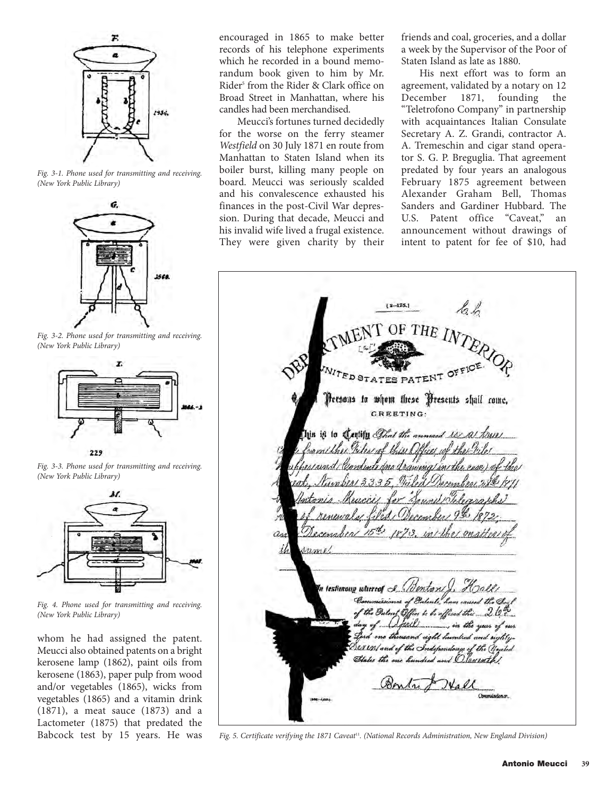

*Fig. 3-1. Phone used for transmitting and receiving. (New York Public Library)*



*Fig. 3-2. Phone used for transmitting and receiving. (New York Public Library)*



*Fig. 3-3. Phone used for transmitting and receiving. (New York Public Library)*



*Fig. 4. Phone used for transmitting and receiving. (New York Public Library)*

whom he had assigned the patent. Meucci also obtained patents on a bright kerosene lamp (1862), paint oils from kerosene (1863), paper pulp from wood and/or vegetables (1865), wicks from vegetables (1865) and a vitamin drink (1871), a meat sauce (1873) and a Lactometer (1875) that predated the Babcock test by 15 years. He was

encouraged in 1865 to make better records of his telephone experiments which he recorded in a bound memorandum book given to him by Mr. Rider<sup>5</sup> from the Rider & Clark office on Broad Street in Manhattan, where his candles had been merchandised.

Meucci's fortunes turned decidedly for the worse on the ferry steamer *Westfield* on 30 July 1871 en route from Manhattan to Staten Island when its boiler burst, killing many people on board. Meucci was seriously scalded and his convalescence exhausted his finances in the post-Civil War depression. During that decade, Meucci and his invalid wife lived a frugal existence. They were given charity by their friends and coal, groceries, and a dollar a week by the Supervisor of the Poor of Staten Island as late as 1880.

His next effort was to form an agreement, validated by a notary on 12 December 1871, founding the "Teletrofono Company" in partnership with acquaintances Italian Consulate Secretary A. Z. Grandi, contractor A. A. Tremeschin and cigar stand operator S. G. P. Breguglia. That agreement predated by four years an analogous February 1875 agreement between Alexander Graham Bell, Thomas Sanders and Gardiner Hubbard. The U.S. Patent office "Caveat," an announcement without drawings of intent to patent for fee of \$10, had

 $12 - 176.1$ F THE I TED STATES PATENT OFFIC Presons to whom these Presents shall come, **GREETING:** his is to Startify That the annoyed is a true with this ! smo dramina in the  $226$ an  $\mu$ <u>lance</u> testimony whereof & Bentany of Palenti have can Before to be affixed this in the year ex un and of the Independence States the one hundred a Boutry Hall

*Fig. 5. Certificate verifying the 1871 Caveat*<sup>11</sup>*. (National Records Administration, New England Division)*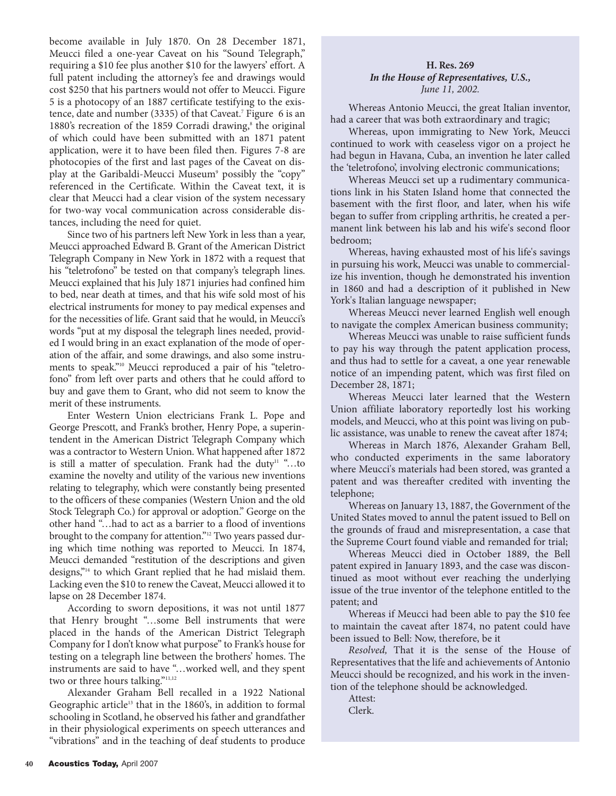become available in July 1870. On 28 December 1871, Meucci filed a one-year Caveat on his "Sound Telegraph," requiring a \$10 fee plus another \$10 for the lawyers' effort. A full patent including the attorney's fee and drawings would cost \$250 that his partners would not offer to Meucci. Figure 5 is a photocopy of an 1887 certificate testifying to the existence, date and number (3335) of that Caveat.<sup>7</sup> Figure 6 is an 1880's recreation of the 1859 Corradi drawing, $s$  the original of which could have been submitted with an 1871 patent application, were it to have been filed then. Figures 7-8 are photocopies of the first and last pages of the Caveat on display at the Garibaldi-Meucci Museum<sup>9</sup> possibly the "copy" referenced in the Certificate. Within the Caveat text, it is clear that Meucci had a clear vision of the system necessary for two-way vocal communication across considerable distances, including the need for quiet.

Since two of his partners left New York in less than a year, Meucci approached Edward B. Grant of the American District Telegraph Company in New York in 1872 with a request that his "teletrofono" be tested on that company's telegraph lines. Meucci explained that his July 1871 injuries had confined him to bed, near death at times, and that his wife sold most of his electrical instruments for money to pay medical expenses and for the necessities of life. Grant said that he would, in Meucci's words "put at my disposal the telegraph lines needed, provided I would bring in an exact explanation of the mode of operation of the affair, and some drawings, and also some instruments to speak."10 Meucci reproduced a pair of his "teletrofono" from left over parts and others that he could afford to buy and gave them to Grant, who did not seem to know the merit of these instruments.

Enter Western Union electricians Frank L. Pope and George Prescott, and Frank's brother, Henry Pope, a superintendent in the American District Telegraph Company which was a contractor to Western Union. What happened after 1872 is still a matter of speculation. Frank had the duty<sup>11</sup> "...to examine the novelty and utility of the various new inventions relating to telegraphy, which were constantly being presented to the officers of these companies (Western Union and the old Stock Telegraph Co.) for approval or adoption." George on the other hand "…had to act as a barrier to a flood of inventions brought to the company for attention."<sup>12</sup> Two years passed during which time nothing was reported to Meucci. In 1874, Meucci demanded "restitution of the descriptions and given designs,"14 to which Grant replied that he had mislaid them. Lacking even the \$10 to renew the Caveat, Meucci allowed it to lapse on 28 December 1874.

According to sworn depositions, it was not until 1877 that Henry brought "…some Bell instruments that were placed in the hands of the American District Telegraph Company for I don't know what purpose" to Frank's house for testing on a telegraph line between the brothers' homes. The instruments are said to have "…worked well, and they spent two or three hours talking."<sup>11,12</sup>

Alexander Graham Bell recalled in a 1922 National Geographic article<sup>13</sup> that in the 1860's, in addition to formal schooling in Scotland, he observed his father and grandfather in their physiological experiments on speech utterances and "vibrations" and in the teaching of deaf students to produce

## **H. Res. 269** *In the House of Representatives, U.S., June 11, 2002.*

Whereas Antonio Meucci, the great Italian inventor, had a career that was both extraordinary and tragic;

Whereas, upon immigrating to New York, Meucci continued to work with ceaseless vigor on a project he had begun in Havana, Cuba, an invention he later called the 'teletrofono', involving electronic communications;

Whereas Meucci set up a rudimentary communications link in his Staten Island home that connected the basement with the first floor, and later, when his wife began to suffer from crippling arthritis, he created a permanent link between his lab and his wife's second floor bedroom;

Whereas, having exhausted most of his life's savings in pursuing his work, Meucci was unable to commercialize his invention, though he demonstrated his invention in 1860 and had a description of it published in New York's Italian language newspaper;

Whereas Meucci never learned English well enough to navigate the complex American business community;

Whereas Meucci was unable to raise sufficient funds to pay his way through the patent application process, and thus had to settle for a caveat, a one year renewable notice of an impending patent, which was first filed on December 28, 1871;

Whereas Meucci later learned that the Western Union affiliate laboratory reportedly lost his working models, and Meucci, who at this point was living on public assistance, was unable to renew the caveat after 1874;

Whereas in March 1876, Alexander Graham Bell, who conducted experiments in the same laboratory where Meucci's materials had been stored, was granted a patent and was thereafter credited with inventing the telephone;

Whereas on January 13, 1887, the Government of the United States moved to annul the patent issued to Bell on the grounds of fraud and misrepresentation, a case that the Supreme Court found viable and remanded for trial;

Whereas Meucci died in October 1889, the Bell patent expired in January 1893, and the case was discontinued as moot without ever reaching the underlying issue of the true inventor of the telephone entitled to the patent; and

Whereas if Meucci had been able to pay the \$10 fee to maintain the caveat after 1874, no patent could have been issued to Bell: Now, therefore, be it

*Resolved,* That it is the sense of the House of Representatives that the life and achievements of Antonio Meucci should be recognized, and his work in the invention of the telephone should be acknowledged.

Attest: Clerk.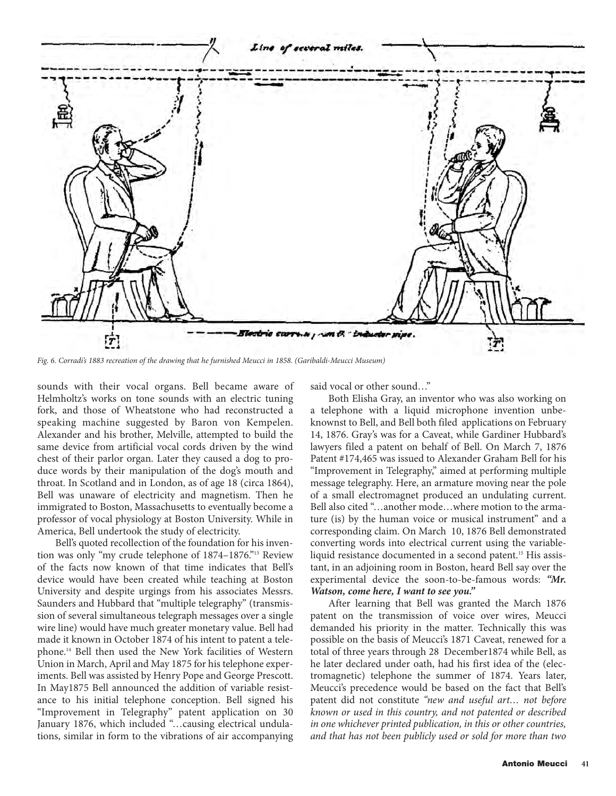

*Fig. 6. Corradi's 1883 recreation of the drawing that he furnished Meucci in 1858. (Garibaldi-Meucci Museum)*

sounds with their vocal organs. Bell became aware of Helmholtz's works on tone sounds with an electric tuning fork, and those of Wheatstone who had reconstructed a speaking machine suggested by Baron von Kempelen. Alexander and his brother, Melville, attempted to build the same device from artificial vocal cords driven by the wind chest of their parlor organ. Later they caused a dog to produce words by their manipulation of the dog's mouth and throat. In Scotland and in London, as of age 18 (circa 1864), Bell was unaware of electricity and magnetism. Then he immigrated to Boston, Massachusetts to eventually become a professor of vocal physiology at Boston University. While in America, Bell undertook the study of electricity.

Bell's quoted recollection of the foundation for his invention was only "my crude telephone of 1874–1876."13 Review of the facts now known of that time indicates that Bell's device would have been created while teaching at Boston University and despite urgings from his associates Messrs. Saunders and Hubbard that "multiple telegraphy" (transmission of several simultaneous telegraph messages over a single wire line) would have much greater monetary value. Bell had made it known in October 1874 of his intent to patent a telephone.14 Bell then used the New York facilities of Western Union in March, April and May 1875 for his telephone experiments. Bell was assisted by Henry Pope and George Prescott. In May1875 Bell announced the addition of variable resistance to his initial telephone conception. Bell signed his "Improvement in Telegraphy" patent application on 30 January 1876, which included "…causing electrical undulations, similar in form to the vibrations of air accompanying

said vocal or other sound…"

Both Elisha Gray, an inventor who was also working on a telephone with a liquid microphone invention unbeknownst to Bell, and Bell both filed applications on February 14, 1876. Gray's was for a Caveat, while Gardiner Hubbard's lawyers filed a patent on behalf of Bell. On March 7, 1876 Patent #174,465 was issued to Alexander Graham Bell for his "Improvement in Telegraphy," aimed at performing multiple message telegraphy. Here, an armature moving near the pole of a small electromagnet produced an undulating current. Bell also cited "…another mode…where motion to the armature (is) by the human voice or musical instrument" and a corresponding claim. On March 10, 1876 Bell demonstrated converting words into electrical current using the variableliquid resistance documented in a second patent.<sup>15</sup> His assistant, in an adjoining room in Boston, heard Bell say over the experimental device the soon-to-be-famous words: *"Mr. Watson, come here, I want to see you."*

After learning that Bell was granted the March 1876 patent on the transmission of voice over wires, Meucci demanded his priority in the matter. Technically this was possible on the basis of Meucci's 1871 Caveat, renewed for a total of three years through 28 December1874 while Bell, as he later declared under oath, had his first idea of the (electromagnetic) telephone the summer of 1874. Years later, Meucci's precedence would be based on the fact that Bell's patent did not constitute *"new and useful art… not before known or used in this country, and not patented or described in one whichever printed publication, in this or other countries, and that has not been publicly used or sold for more than two*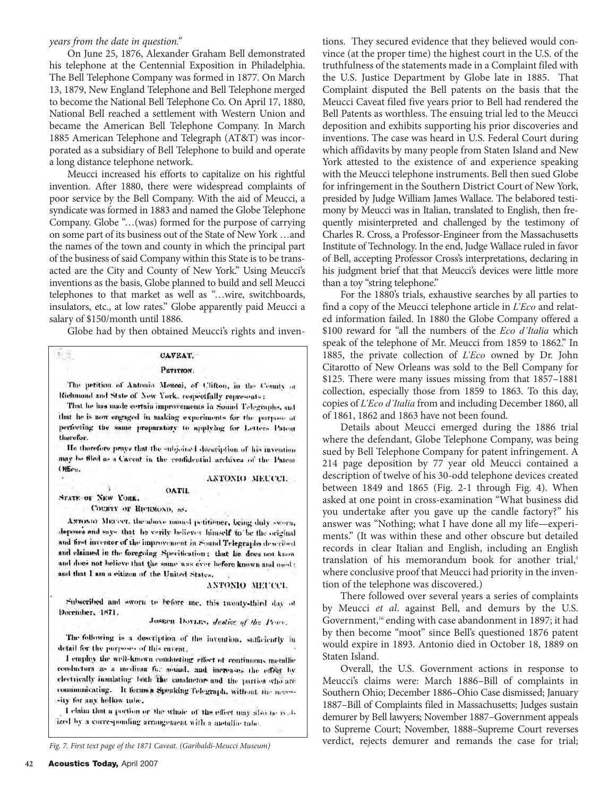#### *years from the date in question."*

On June 25, 1876, Alexander Graham Bell demonstrated his telephone at the Centennial Exposition in Philadelphia. The Bell Telephone Company was formed in 1877. On March 13, 1879, New England Telephone and Bell Telephone merged to become the National Bell Telephone Co. On April 17, 1880, National Bell reached a settlement with Western Union and became the American Bell Telephone Company. In March 1885 American Telephone and Telegraph (AT&T) was incorporated as a subsidiary of Bell Telephone to build and operate a long distance telephone network.

Meucci increased his efforts to capitalize on his rightful invention. After 1880, there were widespread complaints of poor service by the Bell Company. With the aid of Meucci, a syndicate was formed in 1883 and named the Globe Telephone Company. Globe "…(was) formed for the purpose of carrying on some part of its business out of the State of New York …and the names of the town and county in which the principal part of the business of said Company within this State is to be transacted are the City and County of New York." Using Meucci's inventions as the basis, Globe planned to build and sell Meucci telephones to that market as well as "…wire, switchboards, insulators, etc., at low rates." Globe apparently paid Meucci a salary of \$150/month until 1886.

Globe had by then obtained Meucci's rights and inven-

#### CAVEAT.

#### PETITION.

The petition of Antonio Meneci, of Clifton, in the County of Richmond and State of New York, respectfully represents :

That he has made certain improvements in Sound Telegraphs, and that he is now engaged in making experiments for the purpose of perfecting the same proparatory to applying for Letters Patent therefor.

He therefore prays that the subjoined description of his invention may be filed as a Cavent in the confidential archives of the Patent Office.

OATIL.

 $\mathbf{r}$ STATE OF NEW YORK.

 $\sim$   $\sim$ 

COUNTY OF RICHMOND, as,

ASTONIO METTET, the above named petitioner, being duly sworn, deposes and says that he verily believes himself to be the original and first inventor of the improvement in Sound Telegraphs described and claimed in the foregoing Specification; that he does not know and does not believe that the same was ever before known and used : and that I am a citizen of the United States.

#### ANTONIO MEUCCI.

ANTONIO MEUCCI.

Subscribed and sworn to before me, this twenty-third day of December, 1871.

JOSEPH DOYLES, Justice of the Pener.

The following is a description of the invention, sufficiently in detail for the purposes of this caveat.

I employ the well-known conducting effect of continuous metallic conductors as a medium for sound, and increases the effect by electrically insulating both the conductor and the parties who are communicating. It forms a Speaking Telegraph, without the necessity for any hollow tube.

I claim that a portion or the whole of the effect may also be realized by a corre-ponding arrangement with a metallic tabe.

tions. They secured evidence that they believed would convince (at the proper time) the highest court in the U.S. of the truthfulness of the statements made in a Complaint filed with the U.S. Justice Department by Globe late in 1885. That Complaint disputed the Bell patents on the basis that the Meucci Caveat filed five years prior to Bell had rendered the Bell Patents as worthless. The ensuing trial led to the Meucci deposition and exhibits supporting his prior discoveries and inventions. The case was heard in U.S. Federal Court during which affidavits by many people from Staten Island and New York attested to the existence of and experience speaking with the Meucci telephone instruments. Bell then sued Globe for infringement in the Southern District Court of New York, presided by Judge William James Wallace. The belabored testimony by Meucci was in Italian, translated to English, then frequently misinterpreted and challenged by the testimony of Charles R. Cross, a Professor-Engineer from the Massachusetts Institute of Technology. In the end, Judge Wallace ruled in favor of Bell, accepting Professor Cross's interpretations, declaring in his judgment brief that that Meucci's devices were little more than a toy "string telephone."

For the 1880's trials, exhaustive searches by all parties to find a copy of the Meucci telephone article in *L'Eco* and related information failed. In 1880 the Globe Company offered a \$100 reward for "all the numbers of the *Eco d'Italia* which speak of the telephone of Mr. Meucci from 1859 to 1862." In 1885, the private collection of *L'Eco* owned by Dr. John Citarotto of New Orleans was sold to the Bell Company for \$125. There were many issues missing from that 1857–1881 collection, especially those from 1859 to 1863. To this day, copies of *L'Eco d'Italia* from and including December 1860, all of 1861, 1862 and 1863 have not been found.

Details about Meucci emerged during the 1886 trial where the defendant, Globe Telephone Company, was being sued by Bell Telephone Company for patent infringement. A 214 page deposition by 77 year old Meucci contained a description of twelve of his 30-odd telephone devices created between 1849 and 1865 (Fig. 2-1 through Fig. 4). When asked at one point in cross-examination "What business did you undertake after you gave up the candle factory?" his answer was "Nothing; what I have done all my life—experiments." (It was within these and other obscure but detailed records in clear Italian and English, including an English translation of his memorandum book for another trial,<sup>3</sup> where conclusive proof that Meucci had priority in the invention of the telephone was discovered.)

There followed over several years a series of complaints by Meucci *et al*. against Bell, and demurs by the U.S. Government,<sup>16</sup> ending with case abandonment in 1897; it had by then become "moot" since Bell's questioned 1876 patent would expire in 1893. Antonio died in October 18, 1889 on Staten Island.

Overall, the U.S. Government actions in response to Meucci's claims were: March 1886–Bill of complaints in Southern Ohio; December 1886–Ohio Case dismissed; January 1887–Bill of Complaints filed in Massachusetts; Judges sustain demurer by Bell lawyers; November 1887–Government appeals to Supreme Court; November, 1888–Supreme Court reverses verdict, rejects demurer and remands the case for trial; *Fig. 7. First text page of the 1871 Caveat. (Garibaldi-Meucci Museum)*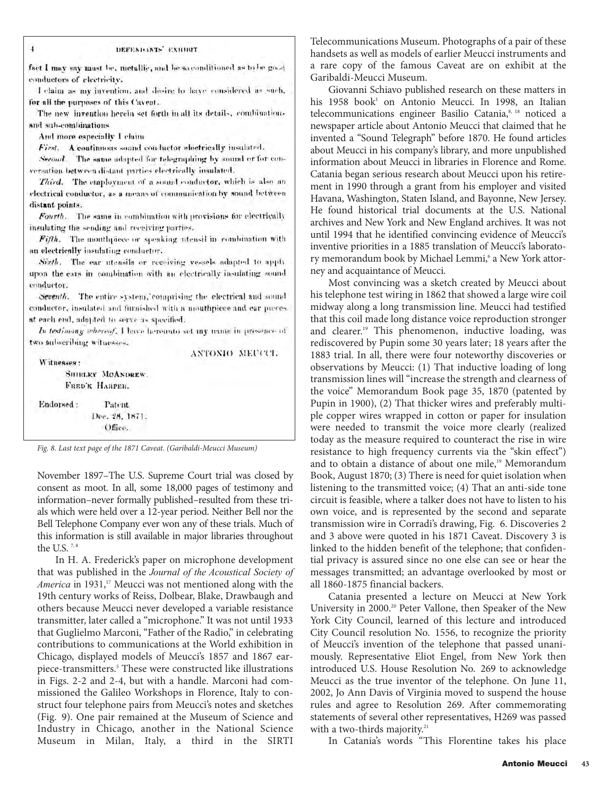### **DEFENIONTS' EXHIBIT**

fact I may say must be, metallic, and be so conditioned as to be good conductors of electricity.

I claim as my invention, and desire to have considered as such, for all the purposes of this Caveat.

The new invention herein set forth in all its details, combinations and sub-combinations

And more especially I claim

First. A continuous sound conductor electrically insulated.

Second. The same adapted for telegraphing by sound or for conversation between distant parties electrically insulated.

Third. The employment of a sound conductor, which is also an electrical conductor, as a means of communication by sound between distant points.

Fourth. The same in combination with provisions for electrically insulating the sending and receiving parties.

Fifth. The monthpiece or speaking utensil in combination with an electrically insulating conductor.

Sixth. The ear utensils or receiving vessels adapted to apply. upon the ears in combination with an electrically insulating sound conductor.

Seventh. The entire system, comprising the electrical and sound conductor, insulated and furnished with a mouthpiece and ear pieces. at each end, adapted to serve as specified.

In testimony whereof. I have hereunto set my mane in presence of two subscribing witnesses.

ANTONIO MEUCCL

Witnesses: SHIRLEY MCANDREW. **FRED'K HARPER.** 

Endorsed: Patent Dec. 28, 1871. Office.

*Fig. 8. Last text page of the 1871 Caveat. (Garibaldi-Meucci Museum)*

November 1897–The U.S. Supreme Court trial was closed by consent as moot. In all, some 18,000 pages of testimony and information–never formally published–resulted from these trials which were held over a 12-year period. Neither Bell nor the Bell Telephone Company ever won any of these trials. Much of this information is still available in major libraries throughout the U.S.  $7,8$ 

In H. A. Frederick's paper on microphone development that was published in the *Journal of the Acoustical Society of America* in 1931, <sup>17</sup> Meucci was not mentioned along with the 19th century works of Reiss, Dolbear, Blake, Drawbaugh and others because Meucci never developed a variable resistance transmitter, later called a "microphone." It was not until 1933 that Guglielmo Marconi, "Father of the Radio," in celebrating contributions to communications at the World exhibition in Chicago, displayed models of Meucci's 1857 and 1867 earpiece-transmitters.<sup>5</sup> These were constructed like illustrations in Figs. 2-2 and 2-4, but with a handle. Marconi had commissioned the Galileo Workshops in Florence, Italy to construct four telephone pairs from Meucci's notes and sketches (Fig. 9). One pair remained at the Museum of Science and Industry in Chicago, another in the National Science Museum in Milan, Italy, a third in the SIRTI Telecommunications Museum. Photographs of a pair of these handsets as well as models of earlier Meucci instruments and a rare copy of the famous Caveat are on exhibit at the Garibaldi-Meucci Museum.

Giovanni Schiavo published research on these matters in his 1958 book<sup>1</sup> on Antonio Meucci. In 1998, an Italian telecommunications engineer Basilio Catania,<sup>8, 18</sup> noticed a newspaper article about Antonio Meucci that claimed that he invented a "Sound Telegraph" before 1870. He found articles about Meucci in his company's library, and more unpublished information about Meucci in libraries in Florence and Rome. Catania began serious research about Meucci upon his retirement in 1990 through a grant from his employer and visited Havana, Washington, Staten Island, and Bayonne, New Jersey. He found historical trial documents at the U.S. National archives and New York and New England archives. It was not until 1994 that he identified convincing evidence of Meucci's inventive priorities in a 1885 translation of Meucci's laboratory memorandum book by Michael Lemmi,<sup>6</sup> a New York attorney and acquaintance of Meucci.

Most convincing was a sketch created by Meucci about his telephone test wiring in 1862 that showed a large wire coil midway along a long transmission line. Meucci had testified that this coil made long distance voice reproduction stronger and clearer.<sup>19</sup> This phenomenon, inductive loading, was rediscovered by Pupin some 30 years later; 18 years after the 1883 trial. In all, there were four noteworthy discoveries or observations by Meucci: (1) That inductive loading of long transmission lines will "increase the strength and clearness of the voice" Memorandum Book page 35, 1870 (patented by Pupin in 1900), (2) That thicker wires and preferably multiple copper wires wrapped in cotton or paper for insulation were needed to transmit the voice more clearly (realized today as the measure required to counteract the rise in wire resistance to high frequency currents via the "skin effect") and to obtain a distance of about one mile,<sup>19</sup> Memorandum Book, August 1870; (3) There is need for quiet isolation when listening to the transmitted voice; (4) That an anti-side tone circuit is feasible, where a talker does not have to listen to his own voice, and is represented by the second and separate transmission wire in Corradi's drawing, Fig. 6. Discoveries 2 and 3 above were quoted in his 1871 Caveat. Discovery 3 is linked to the hidden benefit of the telephone; that confidential privacy is assured since no one else can see or hear the messages transmitted; an advantage overlooked by most or all 1860-1875 financial backers.

Catania presented a lecture on Meucci at New York University in 2000.<sup>20</sup> Peter Vallone, then Speaker of the New York City Council, learned of this lecture and introduced City Council resolution No. 1556, to recognize the priority of Meucci's invention of the telephone that passed unanimously. Representative Eliot Engel, from New York then introduced U.S. House Resolution No. 269 to acknowledge Meucci as the true inventor of the telephone. On June 11, 2002, Jo Ann Davis of Virginia moved to suspend the house rules and agree to Resolution 269. After commemorating statements of several other representatives, H269 was passed with a two-thirds majority.<sup>21</sup>

In Catania's words "This Florentine takes his place

## $\overline{1}$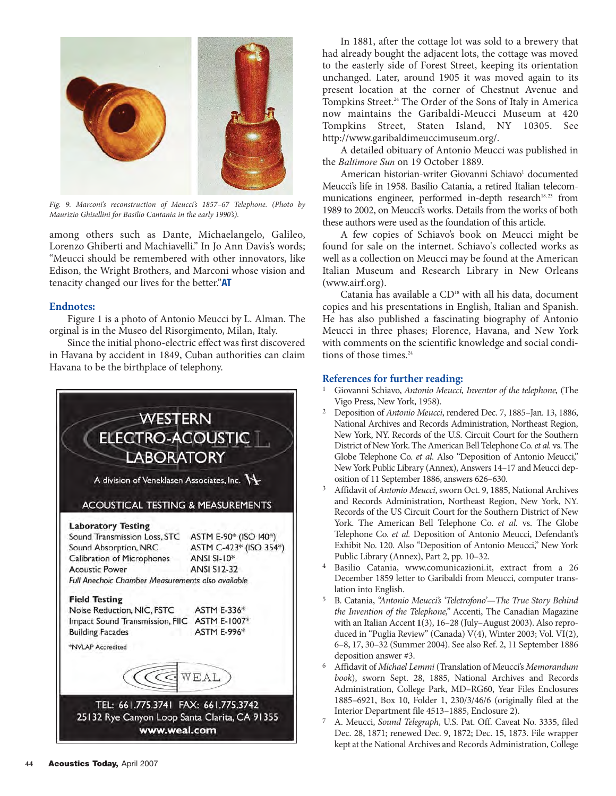

*Fig. 9. Marconi's reconstruction of Meucci's 1857–67 Telephone. (Photo by Maurizio Ghisellini for Basilio Cantania in the early 1990's).*

among others such as Dante, Michaelangelo, Galileo, Lorenzo Ghiberti and Machiavelli." In Jo Ann Davis's words; "Meucci should be remembered with other innovators, like Edison, the Wright Brothers, and Marconi whose vision and tenacity changed our lives for the better."**AT**

## **Endnotes:**

Figure 1 is a photo of Antonio Meucci by L. Alman. The orginal is in the Museo del Risorgimento, Milan, Italy.

Since the initial phono-electric effect was first discovered in Havana by accident in 1849, Cuban authorities can claim Havana to be the birthplace of telephony.



In 1881, after the cottage lot was sold to a brewery that had already bought the adjacent lots, the cottage was moved to the easterly side of Forest Street, keeping its orientation unchanged. Later, around 1905 it was moved again to its present location at the corner of Chestnut Avenue and Tompkins Street.<sup>24</sup> The Order of the Sons of Italy in America now maintains the Garibaldi-Meucci Museum at 420 Tompkins Street, Staten Island, NY 10305. See http://www.garibaldimeuccimuseum.org/.

A detailed obituary of Antonio Meucci was published in the *Baltimore Sun* on 19 October 1889.

American historian-writer Giovanni Schiavo<sup>1</sup> documented Meucci's life in 1958. Basilio Catania, a retired Italian telecommunications engineer, performed in-depth research<sup>18, 23</sup> from 1989 to 2002, on Meucci's works. Details from the works of both these authors were used as the foundation of this article.

A few copies of Schiavo's book on Meucci might be found for sale on the internet. Schiavo's collected works as well as a collection on Meucci may be found at the American Italian Museum and Research Library in New Orleans (www.airf.org).

Catania has available a  $CD^{18}$  with all his data, document copies and his presentations in English, Italian and Spanish. He has also published a fascinating biography of Antonio Meucci in three phases; Florence, Havana, and New York with comments on the scientific knowledge and social conditions of those times.<sup>24</sup>

## **References for further reading:**

- 1 Giovanni Schiavo, *Antonio Meucci, Inventor of the telephone,* (The Vigo Press, New York, 1958).
- 2 Deposition of *Antonio Meucci*, rendered Dec. 7, 1885–Jan. 13, 1886, National Archives and Records Administration, Northeast Region, New York, NY. Records of the U.S. Circuit Court for the Southern District of New York. The American Bell Telephone Co. *et al.* vs. The Globe Telephone Co. *et al*. Also "Deposition of Antonio Meucci," New York Public Library (Annex), Answers 14–17 and Meucci deposition of 11 September 1886, answers 626–630.
- 3 Affidavit of *Antonio Meucci*, sworn Oct. 9, 1885, National Archives and Records Administration, Northeast Region, New York, NY. Records of the US Circuit Court for the Southern District of New York. The American Bell Telephone Co. *et al.* vs. The Globe Telephone Co. *et al.* Deposition of Antonio Meucci, Defendant's Exhibit No. 120. Also "Deposition of Antonio Meucci," New York Public Library (Annex), Part 2, pp. 10–32.
- 4 Basilio Catania, www.comunicazioni.it, extract from a 26 December 1859 letter to Garibaldi from Meucci, computer translation into English.
- 5 B. Catania, *"Antonio Meucci's 'Teletrofono'—The True Story Behind the Invention of the Telephone,"* Accenti, The Canadian Magazine with an Italian Accent **1**(3), 16–28 (July–August 2003). Also reproduced in "Puglia Review" (Canada) V(4), Winter 2003; Vol. VI(2), 6–8, 17, 30–32 (Summer 2004). See also Ref. 2, 11 September 1886 deposition answer #3.
- 6 Affidavit of *Michael Lemmi* (Translation of Meucci's *Memorandum book*), sworn Sept. 28, 1885, National Archives and Records Administration, College Park, MD–RG60, Year Files Enclosures 1885–6921, Box 10, Folder 1, 230/3/46/6 (originally filed at the Interior Department file 4513–1885, Enclosure 2).
- 7 A. Meucci, *Sound Telegraph*, U.S. Pat. Off. Caveat No. 3335, filed Dec. 28, 1871; renewed Dec. 9, 1872; Dec. 15, 1873. File wrapper kept at the National Archives and Records Administration, College